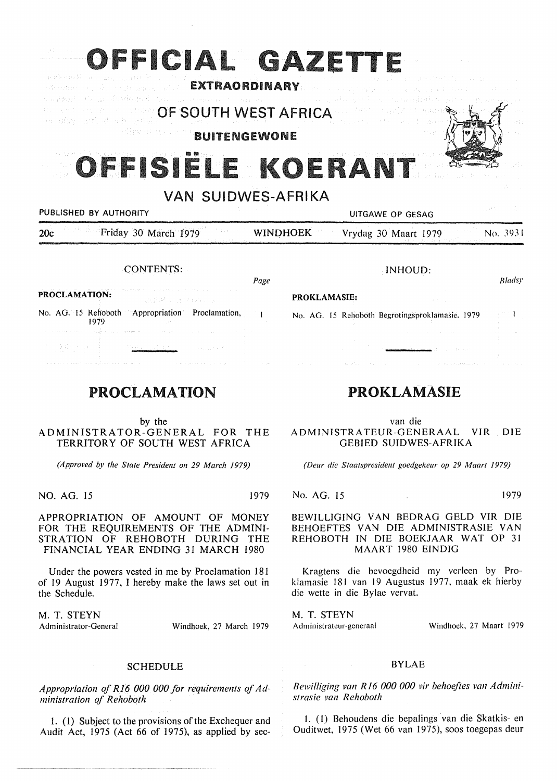| OFFICIAL GAZETTE<br>그 공원 전력 회사 열 도시 모두 나는 일을 하루<br><b>EXTRAORDINARY</b><br>s agency (1) do show (1) (1) |                 | state of the state of the state of<br>All constitutionalistics, |          |  |  |  |
|---------------------------------------------------------------------------------------------------------|-----------------|-----------------------------------------------------------------|----------|--|--|--|
| OF SOUTH WEST AFRICA<br>an bibe and stoods grea<br><b>Sympatric</b><br><b>BUITENGEWONE</b>              |                 |                                                                 |          |  |  |  |
| OFFISIELE KOERANT<br><b>VAN SUIDWES-AFRIKA</b>                                                          |                 |                                                                 |          |  |  |  |
| PUBLISHED BY AUTHORITY                                                                                  |                 | UITGAWE OP GESAG                                                | 言葉をな     |  |  |  |
| Friday 30 March 1979<br>20c                                                                             | <b>WINDHOEK</b> | Vrydag 30 Maart 1979                                            | No. 3931 |  |  |  |
| <b>CONTENTS:</b>                                                                                        |                 | INHOUD:                                                         |          |  |  |  |
|                                                                                                         | Page            |                                                                 | Bladsy   |  |  |  |

# PROCLAMATION

by the ADMINISTRATOR-GENERAL FOR THE TERRITORY OF SOUTH WEST AFRICA

*(Approved by the State President on 29 March 1979)* 

NO. AG. 15 1979

1979

APPROPRIATION OF AMOUNT OF MONEY FOR THE REQUIREMENTS OF THE ADMINI-STRATION OF REHOBOTH DURING THE FINANCIAL YEAR ENDING 31 MARCH 1980

Under the powers vested in me by Proclamation 181 of 19 August 1977, I hereby make the laws set out in the Schedule.

M. T. **STEYN**  Administrator-General Windhoek, 27 March 1979

#### SCHEDULE

*Appropriation of R16 000 000 for requirements of Administration of Rehoboth* 

I. ( I) Subject to the provisions of the Exchequer and Audit Act, 1975 (Act 66 of 1975), as applied by sec-

## PROKLAMASIE

van die ADMINISTRATEUR-GENERAAL VIR DIE GEBIED SUIDWES-AFRIKA

*(Deur die Staatspresident goedgekeur op 29 Maart 1979)* 

No. AG. 15 1979

BEWILLIGING VAN BEDRAG GELD VIR DIE BEHOEFTES VAN DIE ADMINISTRASIE VAN REHOBOTH IN DIE BOEKJAAR WAT OP 31 MAART 1980 EINDIG

Kragtens die bevoegdheid my verleen by Proklamasie 181 van 19 Augustus 1977, maak ek hierby die wette in die Bylae vervat.

M. T. STEYN Administrateur-generaal

Windhoek, 27 Maart 1979

#### BYLAE

Bewilliging van R16 000 000 vir behoeftes van Admini*strasie 11an Rehoboth* 

I. (I) Behoudens die bepalings van die Skatkis- en Ouditwet, 1975 (Wet 66 van 1975), soos toegepas deur